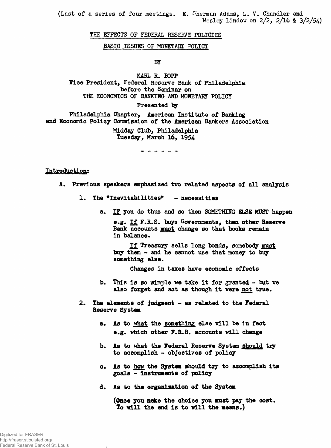**(Last of a series of four meetings. E. Sheman Adams, L. V. Chandler and Wesley Lindov on 2/2, 2/16 & 3/2/54)**

### **THE EFFECTS OF FEDERAL RESERVE POLICIES**

#### **BASIC ISSUES OF MONETÄRE POLICY**

#### **BY**

**KARL R. BOPP yice President, Federal Reserve Bank of Philadelphia before the Seminar on THE ECONOMICS OF BANKING AND MONETARY POLICY**

#### **Presented by**

**Philadelphia Chapter, American Institute of Banking and Economic Policy Commission of the American Bankers Association**

> **Midday Club, Philadelphia Tuesday, March 16, 1954**

#### **Introduction:**

- **A. Previous speakers emphasized two related aspects of all analysis**
	- 1. The "Inevitabilities" necessities
		- **a. IF you do thus and so then SOMETHING ELSE MUST happen e.g. If F.R.S. buys Governments^ then other Reserve**

**Bank accounts must change so that books remain in balance.**

**If Treasury sells long bonds, somebody must buy them - and he cannot use that money to buy something else.**

**Changes in taxes have economic effects**

- **b. This is so 'simple we take it for granted but we also forget and act as though it were not true.**
- **2. The elements of judgment as related to the Federal Reserve System**
	- **a. As to what the something else will be in fact e.g. which other F.R.B. accounts will change**
	- **b. As to what the Federal Reserve System should try to accomplish - objectives of policy**
	- **c. As to how the System should tiy to accomplish its goals - instruments of policy**
	- **d. As to the organisation of the System**

**(Once you make the choice you mist pay the cost. To will the end is to will the means.)**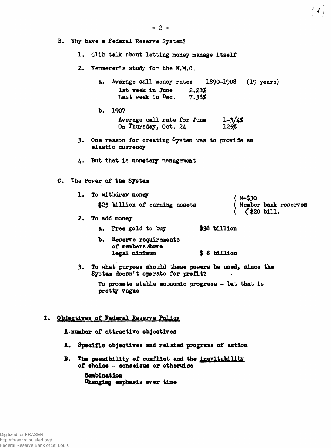$\left(\sqrt{1}\right)$ 

**B. Why have a Federal Reserve System?**

**1. Glib talk about letting money manage Itself**

2. Kemmerer's study for the N.M.C.

**a. Average call money rates 1890-1908 (19 years) 1st week in June** *2»28%* Last week in Dec.

- **b. 1907 Average call rate for June 1-3***/l&* **On Thursday, Oct. 24**
- **3. One reason for creating System was to provide an elastic currency**
- **4\* But that is monetary management**
- **C. The Power of the System**
	- **1.** To withdraw money  $(M=\$30$ **\$25 billion of earning assets ( Member bank reserves ( <\$20 bill.**
	- **2. To add money**

**a. Free gold to buy \$38 billion**

- **b. Reserve requirements of members dbove legal minimum \$ 8 billion**
- **3. To what purpose should these powers be used, since the System doesn't operate for profit?**

**To promote stable economic progress - tut that is pretty vague**

## **I. Objectives of Federal Reserve Policy**

**A, number of attractive objectives**

- **A. Specific objectives and related programs of action**
- **B. The possibility of conflict and the inevitability of choice - conscious or otherwise**

**Combination Changing emphasis over time**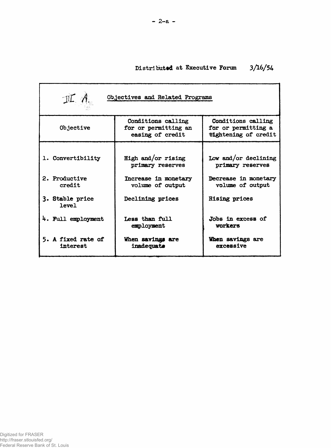# **Distributed at Executive Forum** *3fib/5k*

| $I\mathcal{I}$ A.<br>Objectives and Related Programs |                                                                |                                                                   |  |  |  |
|------------------------------------------------------|----------------------------------------------------------------|-------------------------------------------------------------------|--|--|--|
| Objective                                            | Conditions calling<br>for or permitting an<br>easing of credit | Conditions calling<br>for or permitting a<br>tightening of credit |  |  |  |
| 1. Convertibility                                    | High and/or rising<br>primary reserves                         | Low and/or declining<br>primary reserves                          |  |  |  |
| 2. Productive<br>credit                              | Increase in monetary<br>volume of output                       | Decrease in monetary<br>volume of output                          |  |  |  |
| 3. Stable price<br>level                             | Declining prices                                               | <b>Rising prices</b>                                              |  |  |  |
| 4. Full employment                                   | Less than full<br>employment                                   | Jobs in excess of<br>vorkers                                      |  |  |  |
| 5. A fixed rate of<br>interest                       | When savings are<br>inadequate                                 | When savings are<br>excessive                                     |  |  |  |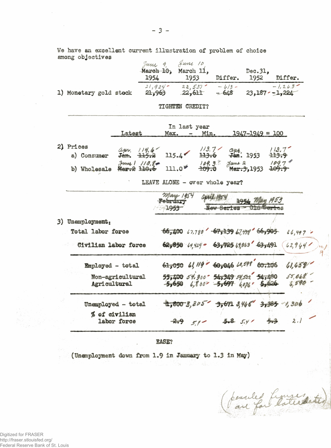Ve have an excellent current illustration of problem of choice among objectives

|                        | June 9.<br>March 10,<br>1954 | $\lambda$ uni 10<br>March 11.<br>1953 | Differ.           | Dec.31.<br>1952  | Differ.  |
|------------------------|------------------------------|---------------------------------------|-------------------|------------------|----------|
| 1) Monetary gold stock | 21,924<br>21,963             | 22,537<br>22,611                      | $-6/3-$<br>$-648$ | $23,187 - 1,224$ | $-1.269$ |

TIGHTEN CREDIT?

| Latest    |             | In last year<br>Max. - Min. |  | $1947 - 1949 = 100$ |                                                                                                                                                  |  |
|-----------|-------------|-----------------------------|--|---------------------|--------------------------------------------------------------------------------------------------------------------------------------------------|--|
| 2) Prices | a) Consumer |                             |  |                     | $\frac{a_{\mu\nu}}{3}$ , $\frac{119.6}{115.2}$ 115.4 $\frac{113.7}{113.6}$ $\frac{a_{\mu\nu}}{3}$ , 1953 <del>113.9</del>                        |  |
|           |             |                             |  |                     | b) Wholesale $\frac{\text{Ham 1}}{\text{Mean 2}}$ 10, $\frac{\text{Sum 2}}{\text{Mean 3}}$ 104.3 $\frac{\text{Sum 2}}{\text{Mean 3}}$ 1953 109.9 |  |

LEAVE ALONE - over whole year?

| Mary 1954<br>april 1954<br>1954 May 1953<br>February<br>New Series<br>$1953 -$            |
|-------------------------------------------------------------------------------------------|
|                                                                                           |
| $66,400$ $47.780$ $67,139$ $47.139$ $66,905$<br>$66,497$ $-$                              |
| $62,850$ $49,429$ $63,725$ $4803$ $63,491$<br>62944                                       |
| 61,050 61, 119 60,046 60,598 60,106<br>41,458                                             |
| 55,400 54.300 54,349 54,522 54,480 55,048<br>$-5,650$ 6,800 $-5,697$ 6,076 5,626<br>6,590 |
| $1,800.3,205$ $3,671.3$ $46$ $3,385$ $1,306$                                              |
| $5.8$ $5.4'$<br>2.1<br>$-2.9$                                                             |
|                                                                                           |

EASE?

(Unemployment down from 1.9 in January to 1.3 in May)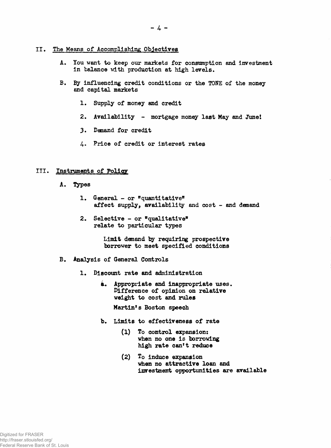## **II. The Means of Accomplishing Objectives**

- **A. You want to keep our markets for consumption and investment in balance vith production at high levels.**
- **B. By influencing credit conditions or the TONE of the money and capital markets**
	- **1. Supply of money and credit**
	- **2. Availability mortgage money last May and June!**
	- **3. Demand for credit**
	- **4. Price of credit or interest rates**

## **III. Instruments of Policy**

- **A. Types**
	- **1. General or "quantitative" affect supply, availability and cost - and demand**
	- **2. Selective or "qualitative" relate to particular types**

**Limit demand by requiring prospective borrower to meet specified conditions**

- **B. Analysis of General Controls**
	- **1. Discount rate and administration**
		- **à. Appropriate and inappropriate uses. Difference of opinion on relative weight to cost and rules**

**Martin's Boston speech**

- **b. Limits to effectiveness of rate**
	- **(1) To control expansion: when no one is borrowing high rate can't reduce**
	- **(2) To induce expansion when no attractive loan and investment opportunities are available**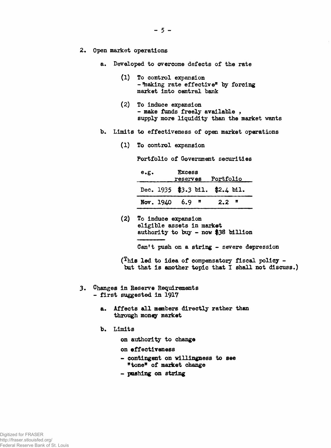- **5 -**
- **2. Open market operations**
	- **a. Developed to overcome defects of the rate**
		- **(1) To control expansion** - Thaking rate effective" by forcing **maiket into central bank**
		- **(2) To induce eaqpansion - make funds freely available , supply more liquidity than the market wants**
	- **b. Limits to effectiveness of open market operations**
		- **(1) To control expansion**

**Portfolio of Government securities**

| e.g. | <b>Excess</b>             | reserves Portfolio              |  |
|------|---------------------------|---------------------------------|--|
|      |                           | Dec. 1935 \$3.3 bil. \$2.4 bil. |  |
|      | Nov. $1940$ 6.9 $\degree$ | 2.2 <sup>π</sup>                |  |

**(2) To induce expansion** eligible assets in market **authority to buy - now \$38 billion**

**Can't push on** a **string - severe depression**

(This led to idea of compensatory fiscal policy  $$ but that is another topic that I shall not discuss.)

- **3. Changes in Reserve Requirements - first suggested in 1917**
	- **&. Affects all members directly rather than through money market**
	- **b. Limits**
		- **on authority to change**
		- **on effectiveness**
		- **contingent on willingness to see** "tone" of market change
		- poshing on string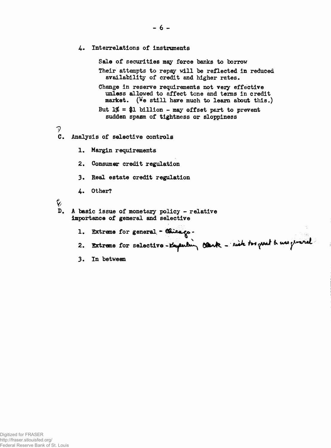- *U\** **Interrelations of instruments Sale of securities may force banks to borrow Their attempts to repay will be reflected in reduced availability of credit and higher rates. Change in reserve requirements not very effective unless allowed to affect tone and terns in credit market. (We still have much to learn about this.) But 1***%* **= \$1 billion - may offset part to prevent sudden spasm of tightness or sloppiness ? C. Analysis of selective controls 1. Margin requirements 2. Consumer credit regulation 3. Heal estate credit regulation 4. Other?**  $\gamma$ **. A basic issue of monetary policy - relative importance of general and selective** 1. Extreme for general - Chicago-2. Extreme for selective-topenling cante - risk to peat & use preval
	- **3. In between**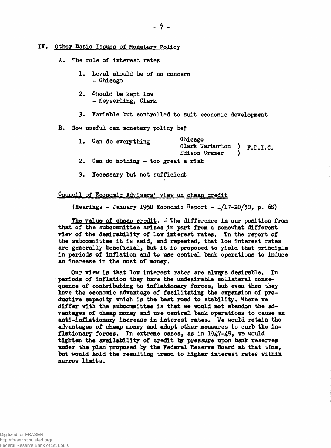## **IV. Other Basic Issues of Monetary Policy**

#### **A. The role of interest rates**

- **1. Level should be of no concern - Chicago**
- **2. Should be kept low - Keyserling, Clark**
- **3. Variable but controlled to suit economic development**

#### **B. How useful can monetary policy be?**

| Chicago<br>1. Can do everything<br>Clark Warburton $)$ $F.D.I.C.$<br>Edison Cramer |  |
|------------------------------------------------------------------------------------|--|
|------------------------------------------------------------------------------------|--|

- **2. Can do nothing too great a risk**
- **3. Necessary but not sufficient**

## Council of Economic Advisers' view on cheap credit

**(Hearings - January 1950 Economic Report - 1/17-20/50, p. 68)**

**The value of cheap credit. - The difference in our position from that of the subcommittee arises in part from a somewhat different view of the desirability of low interest rates. In the report of the subcommittee it is said, and repeated, that low interest rates are generally beneficial, but it is proposed to yield that principle in periods of inflation and to use central bank operations to induce an Increase in the cost of money.**

**Our view is that low interest rates are alweys desirable. In periods of inflation they have the undesirable collateral consequence of contributing to inflationary forces, but even then they have the economic advantage of facilitating the expansion of productive capacity which is the best road to stability. Where we differ with the subcommittee is that we would not abandon the advantages of cheap money and use central bank operations to cause an anti-inflationary Increase in interest rates. We would retain the advantages of cheap money and adopt other measures to curb the inflationary forces. In extreme cases, as in 1947-48, we would tighten the availability of credit by pressure upon bank reserves under the plan proposed by the Federal Reserve Board at that time, but would hold the resulting trend to higher interest rates within narrow limits.**